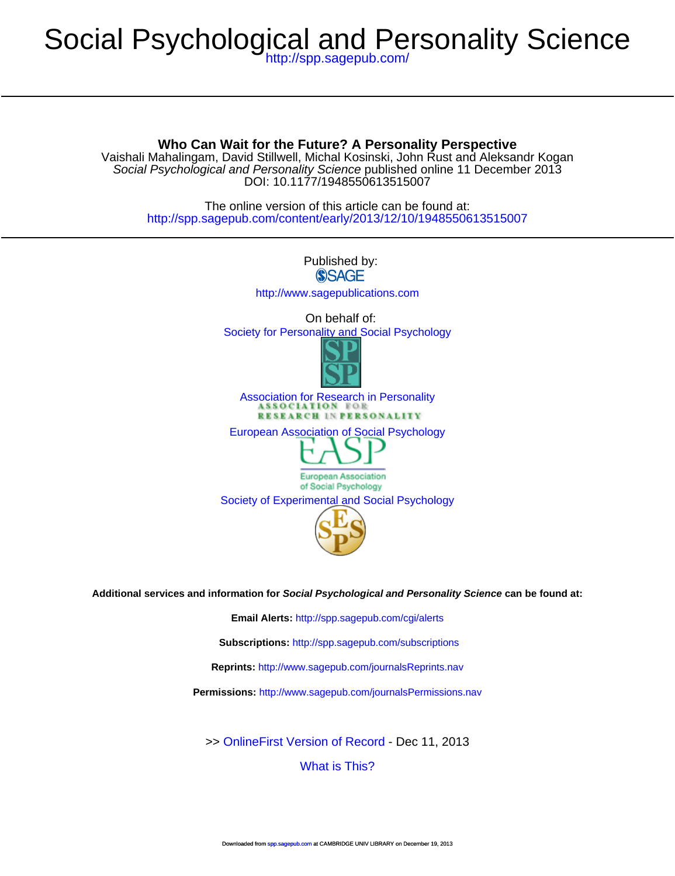# Social Psychological and Personality Science

<http://spp.sagepub.com/>

# **Who Can Wait for the Future? A Personality Perspective**

DOI: 10.1177/1948550613515007 Social Psychological and Personality Science published online 11 December 2013 Vaishali Mahalingam, David Stillwell, Michal Kosinski, John Rust and Aleksandr Kogan

<http://spp.sagepub.com/content/early/2013/12/10/1948550613515007> The online version of this article can be found at:



**Additional services and information for [Social Psychological an](http://spp.sagepub.com/content/early/2013/12/10/1948550613515007.full.pdf)d Personality Science can be found at:**

**Email Alerts:** <http://spp.sagepub.com/cgi/alerts>

**Subscriptions:** <http://spp.sagepub.com/subscriptions>

**Reprints:** <http://www.sagepub.com/journalsReprints.nav>

**Permissions:** <http://www.sagepub.com/journalsPermissions.nav>

>> [OnlineFirst Version of Record -](http://spp.sagepub.com/content/early/2013/12/10/1948550613515007.full.pdf) Dec 11, 2013

[What is This?](http://online.sagepub.com/site/sphelp/vorhelp.xhtml)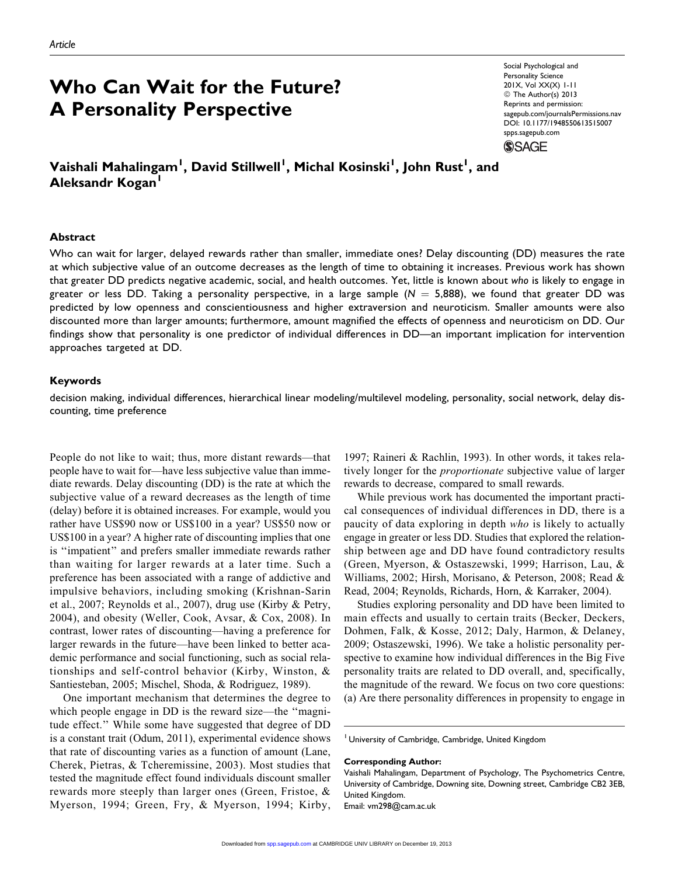# Who Can Wait for the Future? A Personality Perspective

Social Psychological and Personality Science 201X, Vol XX(X) 1-11 © The Author(s) 2013 Reprints and permission: [sagepub.com/journalsPermissions.nav](http://www.sagepub.com/journalsPermissions.nav) DOI: 10.1177/1948550613515007 [spps.sagepub.com](http://spps.sagepub.com) **SSAGE** 

# Vaishali Mahalingam<sup>1</sup>, David Stillwell<sup>1</sup>, Michal Kosinski<sup>1</sup>, John Rust<sup>1</sup>, and Aleksandr Kogan<sup>1</sup>

#### **Abstract**

Who can wait for larger, delayed rewards rather than smaller, immediate ones? Delay discounting (DD) measures the rate at which subjective value of an outcome decreases as the length of time to obtaining it increases. Previous work has shown that greater DD predicts negative academic, social, and health outcomes. Yet, little is known about who is likely to engage in greater or less DD. Taking a personality perspective, in a large sample (N  $=$  5,888), we found that greater DD was predicted by low openness and conscientiousness and higher extraversion and neuroticism. Smaller amounts were also discounted more than larger amounts; furthermore, amount magnified the effects of openness and neuroticism on DD. Our findings show that personality is one predictor of individual differences in DD—an important implication for intervention approaches targeted at DD.

#### Keywords

decision making, individual differences, hierarchical linear modeling/multilevel modeling, personality, social network, delay discounting, time preference

People do not like to wait; thus, more distant rewards—that people have to wait for—have less subjective value than immediate rewards. Delay discounting (DD) is the rate at which the subjective value of a reward decreases as the length of time (delay) before it is obtained increases. For example, would you rather have US\$90 now or US\$100 in a year? US\$50 now or US\$100 in a year? A higher rate of discounting implies that one is ''impatient'' and prefers smaller immediate rewards rather than waiting for larger rewards at a later time. Such a preference has been associated with a range of addictive and impulsive behaviors, including smoking (Krishnan-Sarin et al., 2007; Reynolds et al., 2007), drug use (Kirby & Petry, 2004), and obesity (Weller, Cook, Avsar, & Cox, 2008). In contrast, lower rates of discounting—having a preference for larger rewards in the future—have been linked to better academic performance and social functioning, such as social relationships and self-control behavior (Kirby, Winston, & Santiesteban, 2005; Mischel, Shoda, & Rodriguez, 1989).

One important mechanism that determines the degree to which people engage in DD is the reward size—the "magnitude effect.'' While some have suggested that degree of DD is a constant trait (Odum, 2011), experimental evidence shows that rate of discounting varies as a function of amount (Lane, Cherek, Pietras, & Tcheremissine, 2003). Most studies that tested the magnitude effect found individuals discount smaller rewards more steeply than larger ones (Green, Fristoe, & Myerson, 1994; Green, Fry, & Myerson, 1994; Kirby,

1997; Raineri & Rachlin, 1993). In other words, it takes relatively longer for the *proportionate* subjective value of larger rewards to decrease, compared to small rewards.

While previous work has documented the important practical consequences of individual differences in DD, there is a paucity of data exploring in depth who is likely to actually engage in greater or less DD. Studies that explored the relationship between age and DD have found contradictory results (Green, Myerson, & Ostaszewski, 1999; Harrison, Lau, & Williams, 2002; Hirsh, Morisano, & Peterson, 2008; Read & Read, 2004; Reynolds, Richards, Horn, & Karraker, 2004).

Studies exploring personality and DD have been limited to main effects and usually to certain traits (Becker, Deckers, Dohmen, Falk, & Kosse, 2012; Daly, Harmon, & Delaney, 2009; Ostaszewski, 1996). We take a holistic personality perspective to examine how individual differences in the Big Five personality traits are related to DD overall, and, specifically, the magnitude of the reward. We focus on two core questions: (a) Are there personality differences in propensity to engage in

#### Corresponding Author:

Vaishali Mahalingam, Department of Psychology, The Psychometrics Centre, University of Cambridge, Downing site, Downing street, Cambridge CB2 3EB, United Kingdom. [Email: vm298@](http://spp.sagepub.com/)cam.ac.uk

<sup>1</sup> University of Cambridge, Cambridge, United Kingdom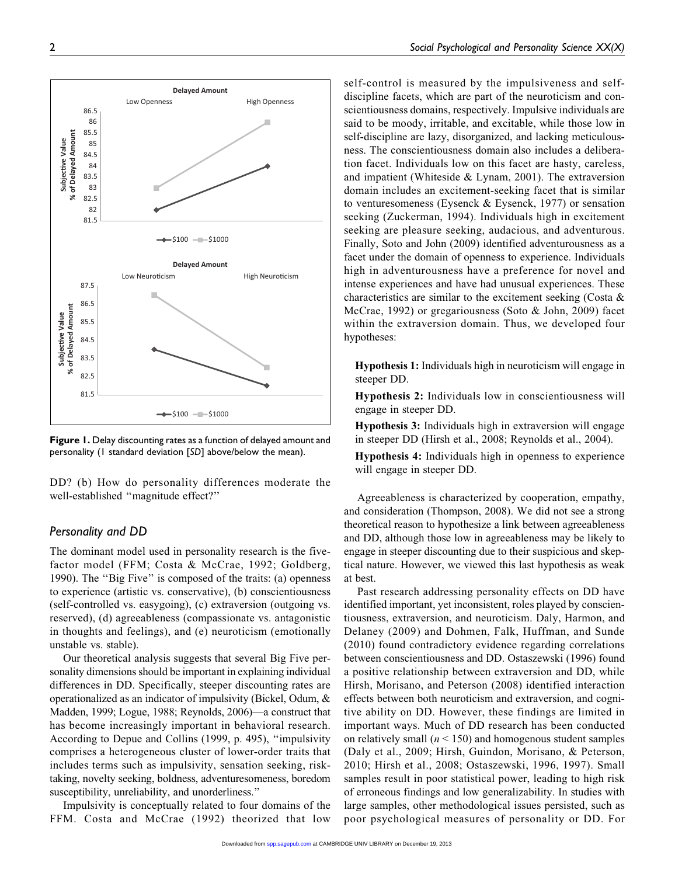

Figure 1. Delay discounting rates as a function of delayed amount and personality (1 standard deviation [SD] above/below the mean).

DD? (b) How do personality differences moderate the well-established ''magnitude effect?''

#### Personality and DD

The dominant model used in personality research is the fivefactor model (FFM; Costa & McCrae, 1992; Goldberg, 1990). The ''Big Five'' is composed of the traits: (a) openness to experience (artistic vs. conservative), (b) conscientiousness (self-controlled vs. easygoing), (c) extraversion (outgoing vs. reserved), (d) agreeableness (compassionate vs. antagonistic in thoughts and feelings), and (e) neuroticism (emotionally unstable vs. stable).

Our theoretical analysis suggests that several Big Five personality dimensions should be important in explaining individual differences in DD. Specifically, steeper discounting rates are operationalized as an indicator of impulsivity (Bickel, Odum, & Madden, 1999; Logue, 1988; Reynolds, 2006)—a construct that has become increasingly important in behavioral research. According to Depue and Collins (1999, p. 495), ''impulsivity comprises a heterogeneous cluster of lower-order traits that includes terms such as impulsivity, sensation seeking, risktaking, novelty seeking, boldness, adventuresomeness, boredom susceptibility, unreliability, and unorderliness.''

Impulsivity is conceptually related to four domains of the FFM. Costa and McCrae (1992) theorized that low

self-control is measured by the impulsiveness and selfdiscipline facets, which are part of the neuroticism and conscientiousness domains, respectively. Impulsive individuals are said to be moody, irritable, and excitable, while those low in self-discipline are lazy, disorganized, and lacking meticulousness. The conscientiousness domain also includes a deliberation facet. Individuals low on this facet are hasty, careless, and impatient (Whiteside & Lynam, 2001). The extraversion domain includes an excitement-seeking facet that is similar to venturesomeness (Eysenck & Eysenck, 1977) or sensation seeking (Zuckerman, 1994). Individuals high in excitement seeking are pleasure seeking, audacious, and adventurous. Finally, Soto and John (2009) identified adventurousness as a facet under the domain of openness to experience. Individuals high in adventurousness have a preference for novel and intense experiences and have had unusual experiences. These characteristics are similar to the excitement seeking (Costa & McCrae, 1992) or gregariousness (Soto & John, 2009) facet within the extraversion domain. Thus, we developed four hypotheses:

Hypothesis 1: Individuals high in neuroticism will engage in steeper DD.

Hypothesis 2: Individuals low in conscientiousness will engage in steeper DD.

Hypothesis 3: Individuals high in extraversion will engage in steeper DD (Hirsh et al., 2008; Reynolds et al., 2004).

Hypothesis 4: Individuals high in openness to experience will engage in steeper DD.

Agreeableness is characterized by cooperation, empathy, and consideration (Thompson, 2008). We did not see a strong theoretical reason to hypothesize a link between agreeableness and DD, although those low in agreeableness may be likely to engage in steeper discounting due to their suspicious and skeptical nature. However, we viewed this last hypothesis as weak at best.

Past research addressing personality effects on DD have identified important, yet inconsistent, roles played by conscientiousness, extraversion, and neuroticism. Daly, Harmon, and Delaney (2009) and Dohmen, Falk, Huffman, and Sunde (2010) found contradictory evidence regarding correlations between conscientiousness and DD. Ostaszewski (1996) found a positive relationship between extraversion and DD, while Hirsh, Morisano, and Peterson (2008) identified interaction effects between both neuroticism and extraversion, and cognitive ability on DD. However, these findings are limited in important ways. Much of DD research has been conducted on relatively small ( $n \leq 150$ ) and homogenous student samples (Daly et al., 2009; Hirsh, Guindon, Morisano, & Peterson, 2010; Hirsh et al., 2008; Ostaszewski, 1996, 1997). Small samples result in poor statistical power, leading to high risk of erroneous findings and low generalizability. In studies with [large samp](http://spp.sagepub.com/)les, other methodological issues persisted, such as poor psychological measures of personality or DD. For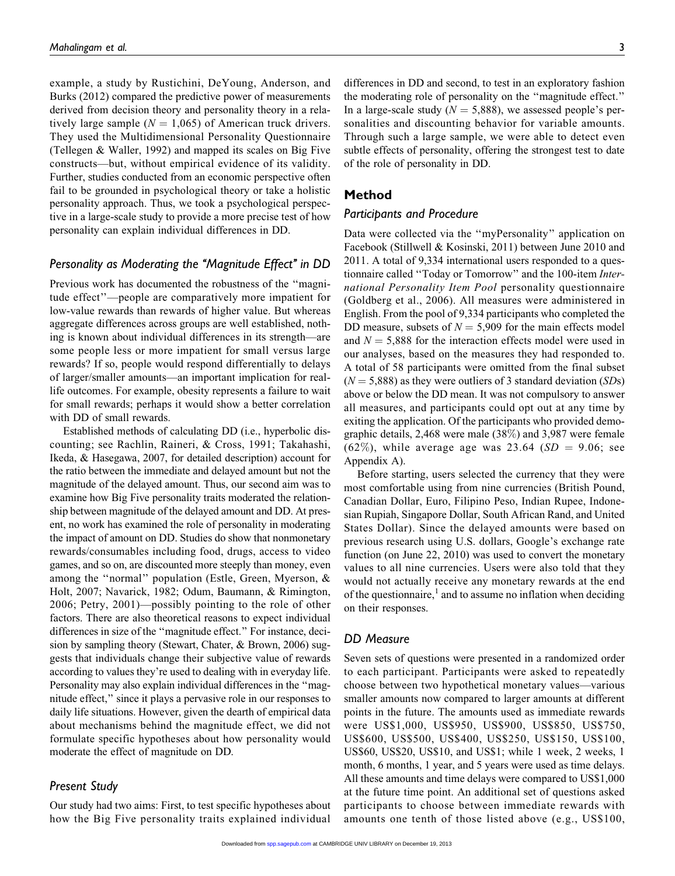example, a study by Rustichini, DeYoung, Anderson, and Burks (2012) compared the predictive power of measurements derived from decision theory and personality theory in a relatively large sample ( $N = 1,065$ ) of American truck drivers. They used the Multidimensional Personality Questionnaire (Tellegen & Waller, 1992) and mapped its scales on Big Five constructs—but, without empirical evidence of its validity. Further, studies conducted from an economic perspective often fail to be grounded in psychological theory or take a holistic personality approach. Thus, we took a psychological perspective in a large-scale study to provide a more precise test of how personality can explain individual differences in DD.

#### Personality as Moderating the "Magnitude Effect" in DD

Previous work has documented the robustness of the ''magnitude effect''—people are comparatively more impatient for low-value rewards than rewards of higher value. But whereas aggregate differences across groups are well established, nothing is known about individual differences in its strength—are some people less or more impatient for small versus large rewards? If so, people would respond differentially to delays of larger/smaller amounts—an important implication for reallife outcomes. For example, obesity represents a failure to wait for small rewards; perhaps it would show a better correlation with DD of small rewards.

Established methods of calculating DD (i.e., hyperbolic discounting; see Rachlin, Raineri, & Cross, 1991; Takahashi, Ikeda, & Hasegawa, 2007, for detailed description) account for the ratio between the immediate and delayed amount but not the magnitude of the delayed amount. Thus, our second aim was to examine how Big Five personality traits moderated the relationship between magnitude of the delayed amount and DD. At present, no work has examined the role of personality in moderating the impact of amount on DD. Studies do show that nonmonetary rewards/consumables including food, drugs, access to video games, and so on, are discounted more steeply than money, even among the ''normal'' population (Estle, Green, Myerson, & Holt, 2007; Navarick, 1982; Odum, Baumann, & Rimington, 2006; Petry, 2001)—possibly pointing to the role of other factors. There are also theoretical reasons to expect individual differences in size of the ''magnitude effect.'' For instance, decision by sampling theory (Stewart, Chater, & Brown, 2006) suggests that individuals change their subjective value of rewards according to values they're used to dealing with in everyday life. Personality may also explain individual differences in the ''magnitude effect,'' since it plays a pervasive role in our responses to daily life situations. However, given the dearth of empirical data about mechanisms behind the magnitude effect, we did not formulate specific hypotheses about how personality would moderate the effect of magnitude on DD.

#### Present Study

Our study had two aims: First, to test specific hypotheses about how the Big Five personality traits explained individual

differences in DD and second, to test in an exploratory fashion the moderating role of personality on the ''magnitude effect.'' In a large-scale study ( $N = 5,888$ ), we assessed people's personalities and discounting behavior for variable amounts. Through such a large sample, we were able to detect even subtle effects of personality, offering the strongest test to date of the role of personality in DD.

#### Method

#### Participants and Procedure

Data were collected via the ''myPersonality'' application on Facebook (Stillwell & Kosinski, 2011) between June 2010 and 2011. A total of 9,334 international users responded to a questionnaire called "Today or Tomorrow" and the 100-item International Personality Item Pool personality questionnaire (Goldberg et al., 2006). All measures were administered in English. From the pool of 9,334 participants who completed the DD measure, subsets of  $N = 5,909$  for the main effects model and  $N = 5,888$  for the interaction effects model were used in our analyses, based on the measures they had responded to. A total of 58 participants were omitted from the final subset  $(N = 5,888)$  as they were outliers of 3 standard deviation (SDs) above or below the DD mean. It was not compulsory to answer all measures, and participants could opt out at any time by exiting the application. Of the participants who provided demographic details, 2,468 were male (38%) and 3,987 were female  $(62\%)$ , while average age was 23.64 (SD = 9.06; see Appendix A).

Before starting, users selected the currency that they were most comfortable using from nine currencies (British Pound, Canadian Dollar, Euro, Filipino Peso, Indian Rupee, Indonesian Rupiah, Singapore Dollar, South African Rand, and United States Dollar). Since the delayed amounts were based on previous research using U.S. dollars, Google's exchange rate function (on June 22, 2010) was used to convert the monetary values to all nine currencies. Users were also told that they would not actually receive any monetary rewards at the end of the questionnaire, $\frac{1}{2}$  and to assume no inflation when deciding on their responses.

#### DD Measure

Seven sets of questions were presented in a randomized order to each participant. Participants were asked to repeatedly choose between two hypothetical monetary values—various smaller amounts now compared to larger amounts at different points in the future. The amounts used as immediate rewards were US\$1,000, US\$950, US\$900, US\$850, US\$750, US\$600, US\$500, US\$400, US\$250, US\$150, US\$100, US\$60, US\$20, US\$10, and US\$1; while 1 week, 2 weeks, 1 month, 6 months, 1 year, and 5 years were used as time delays. All these amounts and time delays were compared to US\$1,000 at the future time point. An additional set of questions asked [participan](http://spp.sagepub.com/)ts to choose between immediate rewards with amounts one tenth of those listed above (e.g., US\$100,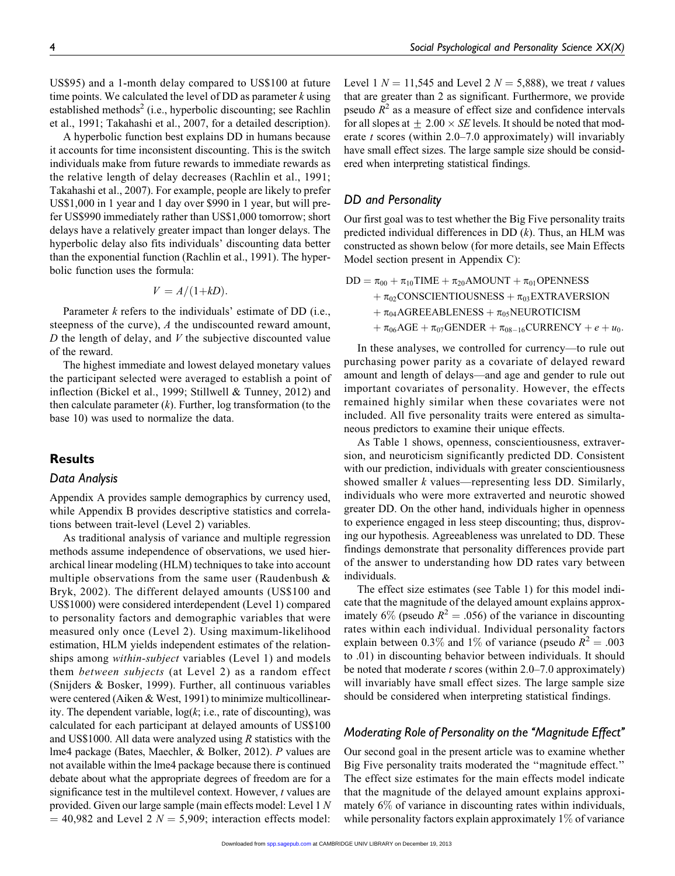US\$95) and a 1-month delay compared to US\$100 at future time points. We calculated the level of DD as parameter  $k$  using established methods<sup>2</sup> (i.e., hyperbolic discounting; see Rachlin et al., 1991; Takahashi et al., 2007, for a detailed description).

A hyperbolic function best explains DD in humans because it accounts for time inconsistent discounting. This is the switch individuals make from future rewards to immediate rewards as the relative length of delay decreases (Rachlin et al., 1991; Takahashi et al., 2007). For example, people are likely to prefer US\$1,000 in 1 year and 1 day over \$990 in 1 year, but will prefer US\$990 immediately rather than US\$1,000 tomorrow; short delays have a relatively greater impact than longer delays. The hyperbolic delay also fits individuals' discounting data better than the exponential function (Rachlin et al., 1991). The hyperbolic function uses the formula:

$$
V = A/(1+kD).
$$

Parameter  $k$  refers to the individuals' estimate of DD (i.e., steepness of the curve), A the undiscounted reward amount, D the length of delay, and  $V$  the subjective discounted value of the reward.

The highest immediate and lowest delayed monetary values the participant selected were averaged to establish a point of inflection (Bickel et al., 1999; Stillwell & Tunney, 2012) and then calculate parameter  $(k)$ . Further, log transformation (to the base 10) was used to normalize the data.

#### Results

#### Data Analysis

Appendix A provides sample demographics by currency used, while Appendix B provides descriptive statistics and correlations between trait-level (Level 2) variables.

As traditional analysis of variance and multiple regression methods assume independence of observations, we used hierarchical linear modeling (HLM) techniques to take into account multiple observations from the same user (Raudenbush & Bryk, 2002). The different delayed amounts (US\$100 and US\$1000) were considered interdependent (Level 1) compared to personality factors and demographic variables that were measured only once (Level 2). Using maximum-likelihood estimation, HLM yields independent estimates of the relationships among *within-subject* variables (Level 1) and models them between subjects (at Level 2) as a random effect (Snijders & Bosker, 1999). Further, all continuous variables were centered (Aiken & West, 1991) to minimize multicollinearity. The dependent variable,  $log(k; i.e.,$  rate of discounting), was calculated for each participant at delayed amounts of US\$100 and US\$1000. All data were analyzed using R statistics with the lme4 package (Bates, Maechler, & Bolker, 2012). P values are not available within the lme4 package because there is continued debate about what the appropriate degrees of freedom are for a significance test in the multilevel context. However, *t* values are provided. Given our large sample (main effects model: Level 1 N  $=$  40,982 and Level 2  $N = 5,909$ ; interaction effects model: Level 1  $N = 11,545$  and Level 2  $N = 5,888$ , we treat t values that are greater than 2 as significant. Furthermore, we provide pseudo  $R^2$  as a measure of effect size and confidence intervals for all slopes at  $\pm 2.00 \times SE$  levels. It should be noted that moderate t scores (within  $2.0-7.0$  approximately) will invariably have small effect sizes. The large sample size should be considered when interpreting statistical findings.

#### DD and Personality

Our first goal was to test whether the Big Five personality traits predicted individual differences in DD  $(k)$ . Thus, an HLM was constructed as shown below (for more details, see Main Effects Model section present in Appendix C):

$$
\begin{aligned} \text{DD} &= \pi_{00} + \pi_{10} \text{TIME} + \pi_{20} \text{AMOUNT} + \pi_{01} \text{OPENNESS} \\ &+ \pi_{02} \text{CONSCIENTIOUSNESS} + \pi_{03} \text{EXTRAVERSION} \\ &+ \pi_{04} \text{AGREEABLENESS} + \pi_{05} \text{NEUROTICISM} \\ &+ \pi_{06} \text{AGE} + \pi_{07} \text{GENDER} + \pi_{08-16} \text{CURRENCY} + e + u_0. \end{aligned}
$$

In these analyses, we controlled for currency—to rule out purchasing power parity as a covariate of delayed reward amount and length of delays—and age and gender to rule out important covariates of personality. However, the effects remained highly similar when these covariates were not included. All five personality traits were entered as simultaneous predictors to examine their unique effects.

As Table 1 shows, openness, conscientiousness, extraversion, and neuroticism significantly predicted DD. Consistent with our prediction, individuals with greater conscientiousness showed smaller  $k$  values—representing less DD. Similarly, individuals who were more extraverted and neurotic showed greater DD. On the other hand, individuals higher in openness to experience engaged in less steep discounting; thus, disproving our hypothesis. Agreeableness was unrelated to DD. These findings demonstrate that personality differences provide part of the answer to understanding how DD rates vary between individuals.

The effect size estimates (see Table 1) for this model indicate that the magnitude of the delayed amount explains approximately 6% (pseudo  $R^2 = .056$ ) of the variance in discounting rates within each individual. Individual personality factors explain between 0.3% and 1% of variance (pseudo  $R^2 = .003$ ) to .01) in discounting behavior between individuals. It should be noted that moderate  $t$  scores (within 2.0–7.0 approximately) will invariably have small effect sizes. The large sample size should be considered when interpreting statistical findings.

#### Moderating Role of Personality on the "Magnitude Effect"

Our second goal in the present article was to examine whether Big Five personality traits moderated the ''magnitude effect.'' The effect size estimates for the main effects model indicate that the magnitude of the delayed amount explains approxi[mately 6](http://spp.sagepub.com/)% of variance in discounting rates within individuals, while personality factors explain approximately 1% of variance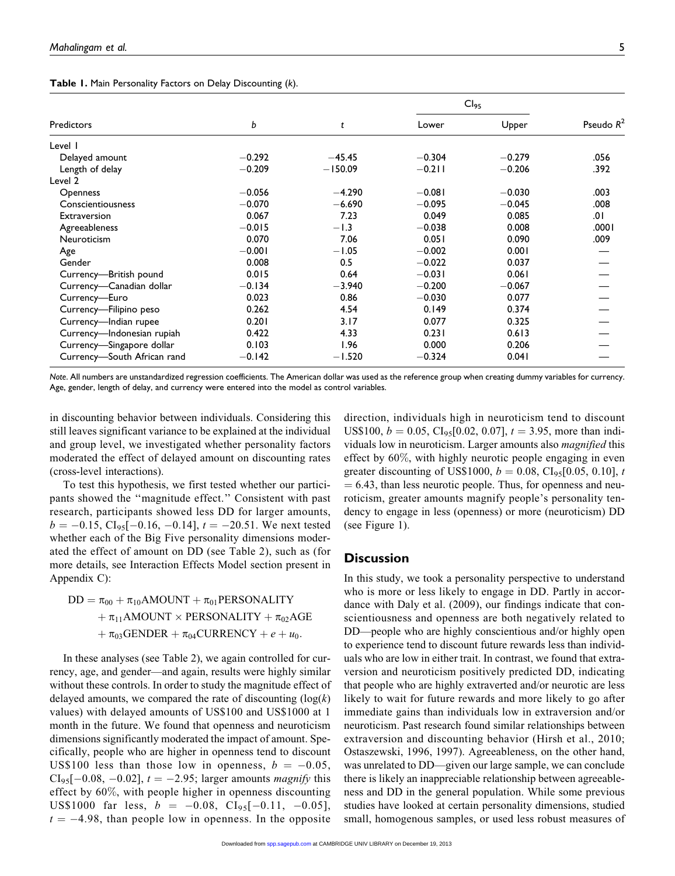| Table 1. Main Personality Factors on Delay Discounting (k). |  |  |  |  |  |  |
|-------------------------------------------------------------|--|--|--|--|--|--|
|-------------------------------------------------------------|--|--|--|--|--|--|

|                             |          |           |          | $Cl_{95}$ |              |
|-----------------------------|----------|-----------|----------|-----------|--------------|
| <b>Predictors</b>           | b        | t         | Lower    | Upper     | Pseudo $R^2$ |
| Level I                     |          |           |          |           |              |
| Delayed amount              | $-0.292$ | $-45.45$  | $-0.304$ | $-0.279$  | .056         |
| Length of delay             | $-0.209$ | $-150.09$ | $-0.211$ | $-0.206$  | .392         |
| Level 2                     |          |           |          |           |              |
| Openness                    | $-0.056$ | $-4.290$  | $-0.081$ | $-0.030$  | .003         |
| Conscientiousness           | $-0.070$ | $-6.690$  | $-0.095$ | $-0.045$  | .008         |
| Extraversion                | 0.067    | 7.23      | 0.049    | 0.085     | .01          |
| Agreeableness               | $-0.015$ | $-1.3$    | $-0.038$ | 0.008     | .0001        |
| Neuroticism                 | 0.070    | 7.06      | 0.051    | 0.090     | .009         |
| Age                         | $-0.001$ | $-1.05$   | $-0.002$ | 0.001     |              |
| Gender                      | 0.008    | 0.5       | $-0.022$ | 0.037     |              |
| Currency-British pound      | 0.015    | 0.64      | $-0.031$ | 0.061     |              |
| Currency-Canadian dollar    | $-0.134$ | $-3.940$  | $-0.200$ | $-0.067$  |              |
| Currency-Euro               | 0.023    | 0.86      | $-0.030$ | 0.077     |              |
| Currency-Filipino peso      | 0.262    | 4.54      | 0.149    | 0.374     |              |
| Currency-Indian rupee       | 0.201    | 3.17      | 0.077    | 0.325     |              |
| Currency-Indonesian rupiah  | 0.422    | 4.33      | 0.231    | 0.613     |              |
| Currency-Singapore dollar   | 0.103    | 1.96      | 0.000    | 0.206     |              |
| Currency-South African rand | $-0.142$ | $-1.520$  | $-0.324$ | 0.041     |              |

Note. All numbers are unstandardized regression coefficients. The American dollar was used as the reference group when creating dummy variables for currency. Age, gender, length of delay, and currency were entered into the model as control variables.

in discounting behavior between individuals. Considering this still leaves significant variance to be explained at the individual and group level, we investigated whether personality factors moderated the effect of delayed amount on discounting rates (cross-level interactions).

To test this hypothesis, we first tested whether our participants showed the ''magnitude effect.'' Consistent with past research, participants showed less DD for larger amounts,  $b = -0.15$ , CI<sub>95</sub>[-0.16, -0.14],  $t = -20.51$ . We next tested whether each of the Big Five personality dimensions moderated the effect of amount on DD (see Table 2), such as (for more details, see Interaction Effects Model section present in Appendix C):

 $DD = \pi_{00} + \pi_{10}AMOUNT + \pi_{01}PERSONALITY$  $+ \pi_{11}$ AMOUNT  $\times$  PERSONALITY  $+ \pi_{02}$ AGE  $+ \pi_{03}$ GENDER  $+ \pi_{04}$ CURRENCY  $+ e + u_0$ .

In these analyses (see Table 2), we again controlled for currency, age, and gender—and again, results were highly similar without these controls. In order to study the magnitude effect of delayed amounts, we compared the rate of discounting  $(log(k))$ values) with delayed amounts of US\$100 and US\$1000 at 1 month in the future. We found that openness and neuroticism dimensions significantly moderated the impact of amount. Specifically, people who are higher in openness tend to discount US\$100 less than those low in openness,  $b = -0.05$ ,  $CI_{95}[-0.08, -0.02]$ ,  $t = -2.95$ ; larger amounts *magnify* this effect by 60%, with people higher in openness discounting US\$1000 far less,  $b = -0.08$ , CI<sub>95</sub>[-0.11, -0.05],  $t = -4.98$ , than people low in openness. In the opposite

direction, individuals high in neuroticism tend to discount US\$100,  $b = 0.05$ , CI<sub>95</sub>[0.02, 0.07],  $t = 3.95$ , more than individuals low in neuroticism. Larger amounts also magnified this effect by 60%, with highly neurotic people engaging in even greater discounting of US\$1000,  $b = 0.08$ , CI<sub>95</sub>[0.05, 0.10], t  $= 6.43$ , than less neurotic people. Thus, for openness and neuroticism, greater amounts magnify people's personality tendency to engage in less (openness) or more (neuroticism) DD (see Figure 1).

#### **Discussion**

In this study, we took a personality perspective to understand who is more or less likely to engage in DD. Partly in accordance with Daly et al. (2009), our findings indicate that conscientiousness and openness are both negatively related to DD—people who are highly conscientious and/or highly open to experience tend to discount future rewards less than individuals who are low in either trait. In contrast, we found that extraversion and neuroticism positively predicted DD, indicating that people who are highly extraverted and/or neurotic are less likely to wait for future rewards and more likely to go after immediate gains than individuals low in extraversion and/or neuroticism. Past research found similar relationships between extraversion and discounting behavior (Hirsh et al., 2010; Ostaszewski, 1996, 1997). Agreeableness, on the other hand, was unrelated to DD—given our large sample, we can conclude there is likely an inappreciable relationship between agreeableness and DD in the general population. While some previous [studies hav](http://spp.sagepub.com/)e looked at certain personality dimensions, studied small, homogenous samples, or used less robust measures of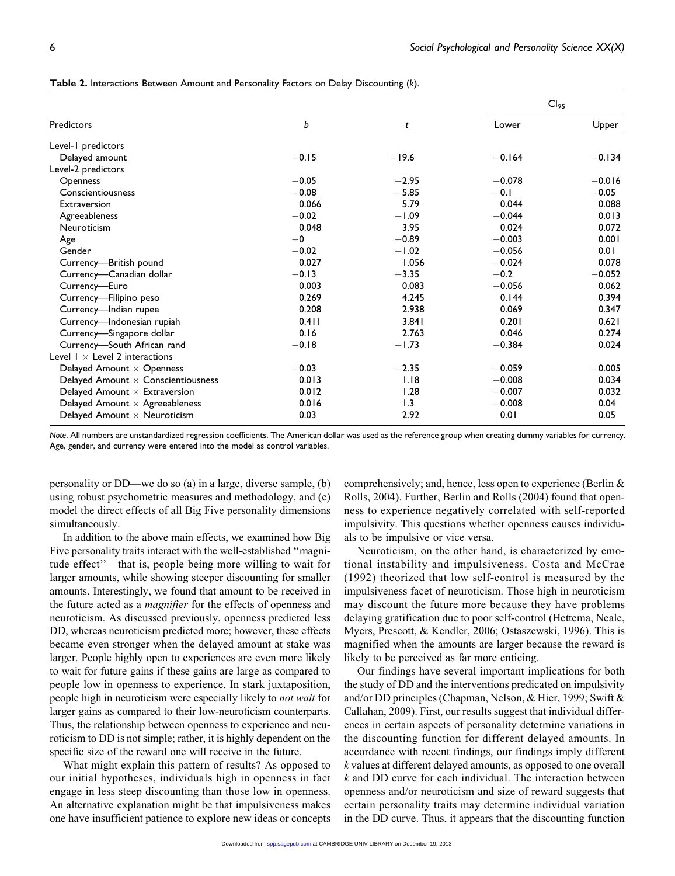|                                           |         |         |          | $Cl_{95}$ |
|-------------------------------------------|---------|---------|----------|-----------|
| Predictors                                | b       | t       | Lower    | Upper     |
| Level-1 predictors                        |         |         |          |           |
| Delayed amount                            | $-0.15$ | $-19.6$ | $-0.164$ | $-0.134$  |
| Level-2 predictors                        |         |         |          |           |
| <b>Openness</b>                           | $-0.05$ | $-2.95$ | $-0.078$ | $-0.016$  |
| Conscientiousness                         | $-0.08$ | $-5.85$ | $-0.1$   | $-0.05$   |
| Extraversion                              | 0.066   | 5.79    | 0.044    | 0.088     |
| Agreeableness                             | $-0.02$ | $-1.09$ | $-0.044$ | 0.013     |
| Neuroticism                               | 0.048   | 3.95    | 0.024    | 0.072     |
| Age                                       | $-0$    | $-0.89$ | $-0.003$ | 0.001     |
| Gender                                    | $-0.02$ | $-1.02$ | $-0.056$ | 0.01      |
| Currency-British pound                    | 0.027   | 1.056   | $-0.024$ | 0.078     |
| Currency-Canadian dollar                  | $-0.13$ | $-3.35$ | $-0.2$   | $-0.052$  |
| Currency-Euro                             | 0.003   | 0.083   | $-0.056$ | 0.062     |
| Currency-Filipino peso                    | 0.269   | 4.245   | 0.144    | 0.394     |
| Currency-lndian rupee                     | 0.208   | 2.938   | 0.069    | 0.347     |
| Currency-Indonesian rupiah                | 0.411   | 3.841   | 0.201    | 0.621     |
| Currency-Singapore dollar                 | 0.16    | 2.763   | 0.046    | 0.274     |
| Currency-South African rand               | $-0.18$ | $-1.73$ | $-0.384$ | 0.024     |
| Level $1 \times$ Level 2 interactions     |         |         |          |           |
| Delayed Amount $\times$ Openness          | $-0.03$ | $-2.35$ | $-0.059$ | $-0.005$  |
| Delayed Amount $\times$ Conscientiousness | 0.013   | 1.18    | $-0.008$ | 0.034     |
| Delayed Amount $\times$ Extraversion      | 0.012   | 1.28    | $-0.007$ | 0.032     |
| Delayed Amount $\times$ Agreeableness     | 0.016   | 1.3     | $-0.008$ | 0.04      |
| Delayed Amount $\times$ Neuroticism       | 0.03    | 2.92    | 0.01     | 0.05      |

Table 2. Interactions Between Amount and Personality Factors on Delay Discounting (k).

Note. All numbers are unstandardized regression coefficients. The American dollar was used as the reference group when creating dummy variables for currency. Age, gender, and currency were entered into the model as control variables.

personality or DD—we do so (a) in a large, diverse sample, (b) using robust psychometric measures and methodology, and (c) model the direct effects of all Big Five personality dimensions simultaneously.

In addition to the above main effects, we examined how Big Five personality traits interact with the well-established ''magnitude effect''—that is, people being more willing to wait for larger amounts, while showing steeper discounting for smaller amounts. Interestingly, we found that amount to be received in the future acted as a *magnifier* for the effects of openness and neuroticism. As discussed previously, openness predicted less DD, whereas neuroticism predicted more; however, these effects became even stronger when the delayed amount at stake was larger. People highly open to experiences are even more likely to wait for future gains if these gains are large as compared to people low in openness to experience. In stark juxtaposition, people high in neuroticism were especially likely to not wait for larger gains as compared to their low-neuroticism counterparts. Thus, the relationship between openness to experience and neuroticism to DD is not simple; rather, it is highly dependent on the specific size of the reward one will receive in the future.

What might explain this pattern of results? As opposed to our initial hypotheses, individuals high in openness in fact engage in less steep discounting than those low in openness. An alternative explanation might be that impulsiveness makes one have insufficient patience to explore new ideas or concepts comprehensively; and, hence, less open to experience (Berlin & Rolls, 2004). Further, Berlin and Rolls (2004) found that openness to experience negatively correlated with self-reported impulsivity. This questions whether openness causes individuals to be impulsive or vice versa.

Neuroticism, on the other hand, is characterized by emotional instability and impulsiveness. Costa and McCrae (1992) theorized that low self-control is measured by the impulsiveness facet of neuroticism. Those high in neuroticism may discount the future more because they have problems delaying gratification due to poor self-control (Hettema, Neale, Myers, Prescott, & Kendler, 2006; Ostaszewski, 1996). This is magnified when the amounts are larger because the reward is likely to be perceived as far more enticing.

Our findings have several important implications for both the study of DD and the interventions predicated on impulsivity and/or DD principles (Chapman, Nelson, & Hier, 1999; Swift & Callahan, 2009). First, our results suggest that individual differences in certain aspects of personality determine variations in the discounting function for different delayed amounts. In accordance with recent findings, our findings imply different k values at different delayed amounts, as opposed to one overall k and DD curve for each individual. The interaction between openness and/or neuroticism and size of reward suggests that [certain pers](http://spp.sagepub.com/)onality traits may determine individual variation in the DD curve. Thus, it appears that the discounting function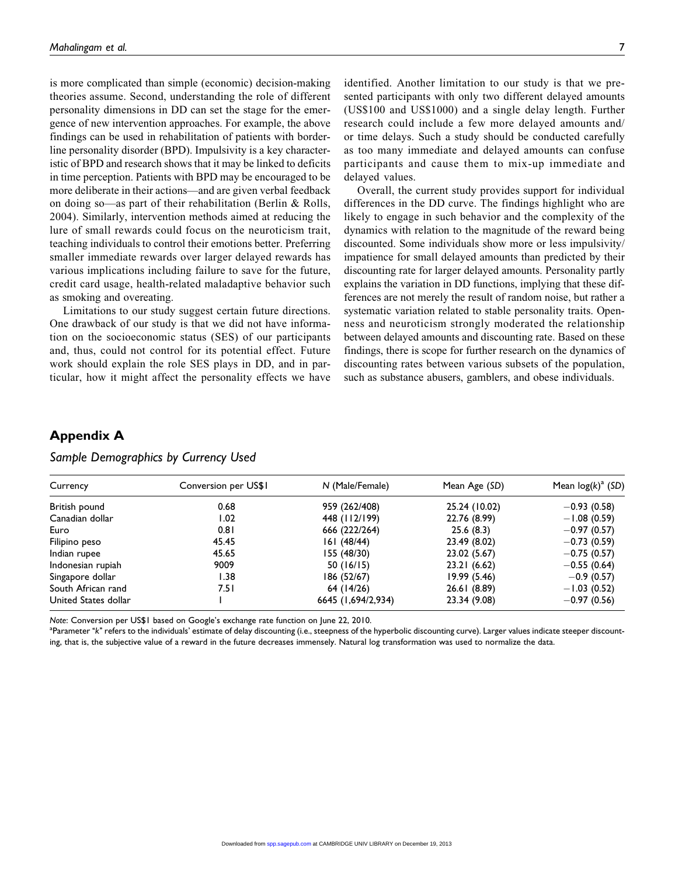is more complicated than simple (economic) decision-making theories assume. Second, understanding the role of different personality dimensions in DD can set the stage for the emergence of new intervention approaches. For example, the above findings can be used in rehabilitation of patients with borderline personality disorder (BPD). Impulsivity is a key characteristic of BPD and research shows that it may be linked to deficits in time perception. Patients with BPD may be encouraged to be more deliberate in their actions—and are given verbal feedback on doing so—as part of their rehabilitation (Berlin & Rolls, 2004). Similarly, intervention methods aimed at reducing the lure of small rewards could focus on the neuroticism trait, teaching individuals to control their emotions better. Preferring smaller immediate rewards over larger delayed rewards has various implications including failure to save for the future, credit card usage, health-related maladaptive behavior such as smoking and overeating.

Limitations to our study suggest certain future directions. One drawback of our study is that we did not have information on the socioeconomic status (SES) of our participants and, thus, could not control for its potential effect. Future work should explain the role SES plays in DD, and in particular, how it might affect the personality effects we have

identified. Another limitation to our study is that we presented participants with only two different delayed amounts (US\$100 and US\$1000) and a single delay length. Further research could include a few more delayed amounts and/ or time delays. Such a study should be conducted carefully as too many immediate and delayed amounts can confuse participants and cause them to mix-up immediate and delayed values.

Overall, the current study provides support for individual differences in the DD curve. The findings highlight who are likely to engage in such behavior and the complexity of the dynamics with relation to the magnitude of the reward being discounted. Some individuals show more or less impulsivity/ impatience for small delayed amounts than predicted by their discounting rate for larger delayed amounts. Personality partly explains the variation in DD functions, implying that these differences are not merely the result of random noise, but rather a systematic variation related to stable personality traits. Openness and neuroticism strongly moderated the relationship between delayed amounts and discounting rate. Based on these findings, there is scope for further research on the dynamics of discounting rates between various subsets of the population, such as substance abusers, gamblers, and obese individuals.

## Appendix A

| Currency             | Conversion per US\$1 | N (Male/Female)    | Mean Age (SD) | Mean $log(k)^{a}$ (SD) |
|----------------------|----------------------|--------------------|---------------|------------------------|
| British pound        | 0.68                 | 959 (262/408)      | 25.24 (10.02) | $-0.93(0.58)$          |
| Canadian dollar      | 1.02                 | 448 (112/199)      | 22.76 (8.99)  | $-1.08(0.59)$          |
| Euro                 | 0.81                 | 666 (222/264)      | 25.6(8.3)     | $-0.97(0.57)$          |
| Filipino peso        | 45.45                | 161 (48/44)        | 23.49 (8.02)  | $-0.73(0.59)$          |
| Indian rupee         | 45.65                | 155 (48/30)        | 23.02 (5.67)  | $-0.75(0.57)$          |
| Indonesian rupiah    | 9009                 | 50 (16/15)         | 23.21(6.62)   | $-0.55(0.64)$          |
| Singapore dollar     | 1.38                 | 186 (52/67)        | 19.99(5.46)   | $-0.9(0.57)$           |
| South African rand   | 7.51                 | 64 (14/26)         | 26.61 (8.89)  | $-1.03(0.52)$          |
| United States dollar |                      | 6645 (1,694/2,934) | 23.34 (9.08)  | $-0.97(0.56)$          |

#### Sample Demographics by Currency Used

Note: Conversion per US\$1 based on Google's exchange rate function on June 22, 2010.

<sup>a</sup>Parameter "k" refers to the individuals' estimate of delay discounting (i.e., steepness of the hyperbolic discounting curve). Larger values indicate steeper discounting, that is, the subjective value of a reward in the future decreases immensely. Natural log transformation was used to normalize the data.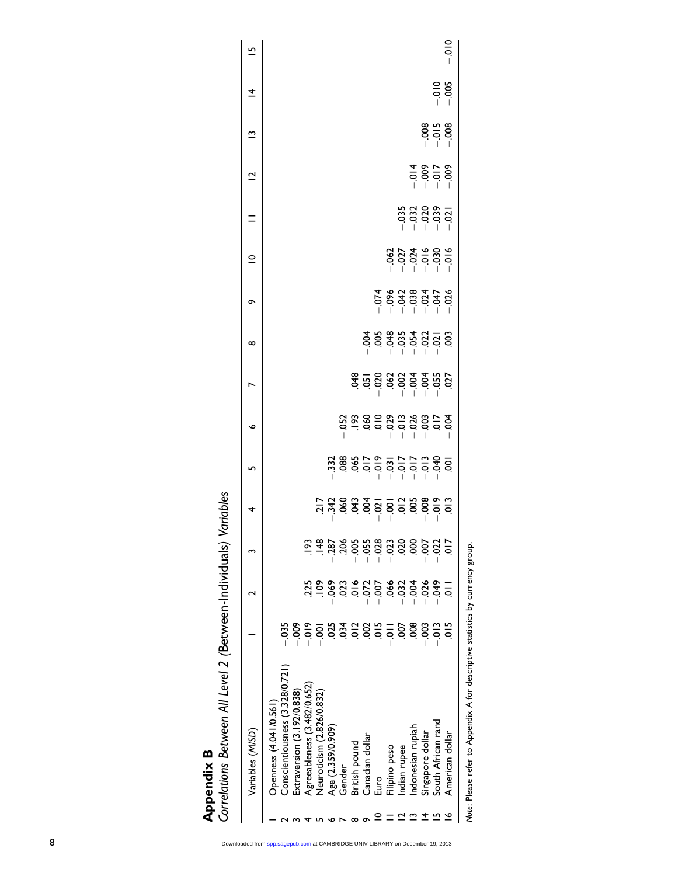|                      | Variables (M/SD)                                                               |                                           |               |                | 4 | 5                                                                                          | ∾                                                                                                                     | ∞                                                                             | ۰                                                             | $\subseteq$                                                          |                                             | $\overline{\mathbf{C}}$                                                    | $\tilde{ }$        | $\overline{4}$ | $\overline{v}$ |
|----------------------|--------------------------------------------------------------------------------|-------------------------------------------|---------------|----------------|---|--------------------------------------------------------------------------------------------|-----------------------------------------------------------------------------------------------------------------------|-------------------------------------------------------------------------------|---------------------------------------------------------------|----------------------------------------------------------------------|---------------------------------------------|----------------------------------------------------------------------------|--------------------|----------------|----------------|
|                      | Openness (4.041/0.561)                                                         |                                           |               |                |   |                                                                                            |                                                                                                                       |                                                                               |                                                               |                                                                      |                                             |                                                                            |                    |                |                |
|                      | Conscientiousness (3.328/0.721)                                                | $-035$                                    |               |                |   |                                                                                            |                                                                                                                       |                                                                               |                                                               |                                                                      |                                             |                                                                            |                    |                |                |
|                      | Extraversion (3.192/0.838)                                                     | $-0.009$                                  |               |                |   |                                                                                            |                                                                                                                       |                                                                               |                                                               |                                                                      |                                             |                                                                            |                    |                |                |
|                      | Agreeableness (3.482/0.652)                                                    | $-0.0$                                    | .225          | $\frac{5}{2}$  |   |                                                                                            |                                                                                                                       |                                                                               |                                                               |                                                                      |                                             |                                                                            |                    |                |                |
|                      | Neuroticism (2.826/0.832)                                                      | $-00$                                     | $rac{6}{1}$   | $rac{48}{1}$   |   |                                                                                            |                                                                                                                       |                                                                               |                                                               |                                                                      |                                             |                                                                            |                    |                |                |
|                      | Age (2.359/0.909)                                                              | 35                                        | $-069$        | $-0.287$       |   |                                                                                            |                                                                                                                       |                                                                               |                                                               |                                                                      |                                             |                                                                            |                    |                |                |
|                      | Gender                                                                         | $-54$                                     |               | 206            |   |                                                                                            |                                                                                                                       |                                                                               |                                                               |                                                                      |                                             |                                                                            |                    |                |                |
|                      | British pound                                                                  |                                           | $rac{23}{0!}$ | $-0.05$        |   |                                                                                            |                                                                                                                       |                                                                               |                                                               |                                                                      |                                             |                                                                            |                    |                |                |
|                      | Canadian dollar                                                                | $\frac{2}{5}$ $\frac{2}{5}$ $\frac{5}{5}$ | $-0.072$      | $-0.55$        |   | $-332$ $-330$ $-350$ $-350$ $-350$ $-350$ $-350$ $-350$ $-350$ $-350$ $-350$ $-350$ $-350$ | $-0.05$<br>$-0.05$<br>$-0.05$<br>$-0.05$<br>$-0.05$<br>$-0.05$<br>$-0.05$<br>$-0.05$<br>$-0.05$<br>$-0.05$<br>$-0.05$ |                                                                               |                                                               |                                                                      |                                             |                                                                            |                    |                |                |
|                      | Euro                                                                           |                                           |               | $-0.028$       |   |                                                                                            |                                                                                                                       |                                                                               |                                                               |                                                                      |                                             |                                                                            |                    |                |                |
|                      | ilipino peso                                                                   | $\overline{5}$                            | .066          | $-0.023$       |   |                                                                                            |                                                                                                                       | $-0.038$<br>$-0.034$<br>$-0.034$<br>$-0.034$<br>$-0.01$<br>$-0.03$<br>$-0.03$ | $-0.74$ $-0.042$ $-0.043$ $-0.042$ $-0.047$ $+0.047$ $+0.047$ |                                                                      |                                             |                                                                            |                    |                |                |
|                      | ndian rupee                                                                    | <b>COO</b>                                | $-0.32$       | $\overline{0}$ |   |                                                                                            |                                                                                                                       |                                                                               |                                                               |                                                                      |                                             |                                                                            |                    |                |                |
|                      | ndonesian rupiah                                                               | ခွိ                                       | $-004$        | 80             |   |                                                                                            |                                                                                                                       |                                                                               |                                                               |                                                                      |                                             |                                                                            |                    |                |                |
|                      | singapore dollar                                                               | <b>COO</b> .                              | $-0.026$      | $-0.007$       |   |                                                                                            |                                                                                                                       |                                                                               |                                                               |                                                                      |                                             |                                                                            |                    |                |                |
|                      | South African rand                                                             | $-0.13$                                   | $-0.49$       | $-0.022$       |   |                                                                                            |                                                                                                                       |                                                                               |                                                               | $-0.027$<br>$-0.027$<br>$-0.016$<br>$-0.030$<br>$-0.030$<br>$-0.016$ | $-0.33$<br>$-0.020$<br>$-0.039$<br>$-0.020$ | $\frac{4}{10}$ $\frac{8}{10}$ $\frac{5}{10}$ $\frac{8}{10}$ $\frac{1}{10}$ | $-008$<br>$-0.008$ | $-0.05$        |                |
| $\overline{\bullet}$ | American dollar                                                                | Ξ                                         |               |                |   |                                                                                            |                                                                                                                       |                                                                               |                                                               |                                                                      |                                             |                                                                            |                    |                | $-010$         |
|                      | Note: Please refer to Appendix A for descriptive statistics by currency group. |                                           |               |                |   |                                                                                            |                                                                                                                       |                                                                               |                                                               |                                                                      |                                             |                                                                            |                    |                |                |

**Appendix B**<br>Correlations Between All Level 2 (Between-Individuals) Variables Correlations Between All Level 2 (Between-Individuals) Variables Appendix B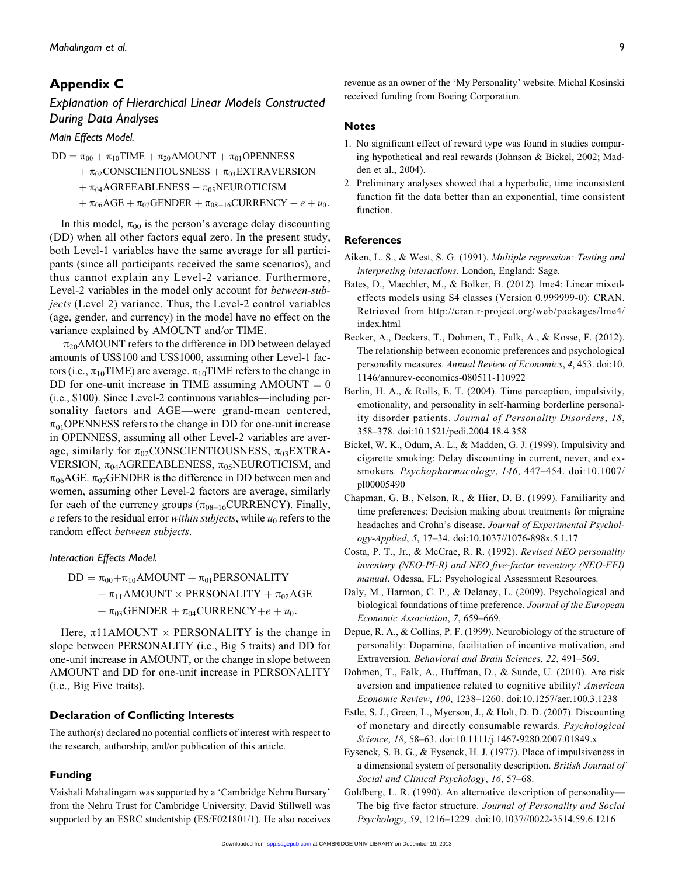## Appendix C

# Explanation of Hierarchical Linear Models Constructed During Data Analyses

#### Main Effects Model.

 $DD = \pi_{00} + \pi_{10}TIME + \pi_{20}AMOUNT + \pi_{01} OPENDENNESS$ 

 $+ \pi_{02}$ CONSCIENTIOUSNESS  $+ \pi_{03}$ EXTRAVERSION

 $+ \pi_{04}AGREEABLENESS + \pi_{05}NEUROTICISM$ 

 $+ \pi_{06}AGE + \pi_{07}GENDER + \pi_{08-16} CURRENCY + e + u_0.$ 

In this model,  $\pi_{00}$  is the person's average delay discounting (DD) when all other factors equal zero. In the present study, both Level-1 variables have the same average for all participants (since all participants received the same scenarios), and thus cannot explain any Level-2 variance. Furthermore, Level-2 variables in the model only account for between-subjects (Level 2) variance. Thus, the Level-2 control variables (age, gender, and currency) in the model have no effect on the variance explained by AMOUNT and/or TIME.

 $\pi_{20}$ AMOUNT refers to the difference in DD between delayed amounts of US\$100 and US\$1000, assuming other Level-1 factors (i.e.,  $\pi_{10}$ TIME) are average.  $\pi_{10}$ TIME refers to the change in DD for one-unit increase in TIME assuming  $AMOUNT = 0$ (i.e., \$100). Since Level-2 continuous variables—including personality factors and AGE—were grand-mean centered,  $\pi_{01}$ OPENNESS refers to the change in DD for one-unit increase in OPENNESS, assuming all other Level-2 variables are average, similarly for  $\pi_{02}$ CONSCIENTIOUSNESS,  $\pi_{03}$ EXTRA-VERSION,  $\pi_{04}$ AGREEABLENESS,  $\pi_{05}$ NEUROTICISM, and  $\pi_{06}$ AGE.  $\pi_{07}$ GENDER is the difference in DD between men and women, assuming other Level-2 factors are average, similarly for each of the currency groups ( $\pi_{08-16}$ CURRENCY). Finally, e refers to the residual error *within subjects*, while  $u_0$  refers to the random effect between subjects.

#### Interaction Effects Model.

 $DD = \pi_{00} + \pi_{10}AMOUNT + \pi_{01}PERSONALITY$  $+ \pi_{11}$ AMOUNT  $\times$  PERSONALITY  $+ \pi_{02}$ AGE  $+\pi_{03}$ GENDER  $+\pi_{04}$ CURRENCY $+e + u_0$ .

Here,  $\pi$ 11AMOUNT  $\times$  PERSONALITY is the change in slope between PERSONALITY (i.e., Big 5 traits) and DD for one-unit increase in AMOUNT, or the change in slope between AMOUNT and DD for one-unit increase in PERSONALITY (i.e., Big Five traits).

#### Declaration of Conflicting Interests

The author(s) declared no potential conflicts of interest with respect to the research, authorship, and/or publication of this article.

#### Funding

Vaishali Mahalingam was supported by a 'Cambridge Nehru Bursary' from the Nehru Trust for Cambridge University. David Stillwell was supported by an ESRC studentship (ES/F021801/1). He also receives revenue as an owner of the 'My Personality' website. Michal Kosinski received funding from Boeing Corporation.

#### **Notes**

- 1. No significant effect of reward type was found in studies comparing hypothetical and real rewards (Johnson & Bickel, 2002; Madden et al., 2004).
- 2. Preliminary analyses showed that a hyperbolic, time inconsistent function fit the data better than an exponential, time consistent function.

#### References

- Aiken, L. S., & West, S. G. (1991). Multiple regression: Testing and interpreting interactions. London, England: Sage.
- Bates, D., Maechler, M., & Bolker, B. (2012). lme4: Linear mixedeffects models using S4 classes (Version 0.999999-0): CRAN. Retrieved from [http://cran.r-project.org/web/packages/lme4/](http://cran.r-project.org/web/packages/lme4/index.html) [index.html](http://cran.r-project.org/web/packages/lme4/index.html)
- Becker, A., Deckers, T., Dohmen, T., Falk, A., & Kosse, F. (2012). The relationship between economic preferences and psychological personality measures. Annual Review of Economics, 4, 453. doi:10. 1146/annurev-economics-080511-110922
- Berlin, H. A., & Rolls, E. T. (2004). Time perception, impulsivity, emotionality, and personality in self-harming borderline personality disorder patients. Journal of Personality Disorders, 18, 358–378. doi:10.1521/pedi.2004.18.4.358
- Bickel, W. K., Odum, A. L., & Madden, G. J. (1999). Impulsivity and cigarette smoking: Delay discounting in current, never, and exsmokers. Psychopharmacology, 146, 447–454. doi:10.1007/ pl00005490
- Chapman, G. B., Nelson, R., & Hier, D. B. (1999). Familiarity and time preferences: Decision making about treatments for migraine headaches and Crohn's disease. Journal of Experimental Psychology-Applied, 5, 17–34. doi:10.1037//1076-898x.5.1.17
- Costa, P. T., Jr., & McCrae, R. R. (1992). Revised NEO personality inventory (NEO-PI-R) and NEO five-factor inventory (NEO-FFI) manual. Odessa, FL: Psychological Assessment Resources.
- Daly, M., Harmon, C. P., & Delaney, L. (2009). Psychological and biological foundations of time preference. Journal of the European Economic Association, 7, 659–669.
- Depue, R. A., & Collins, P. F. (1999). Neurobiology of the structure of personality: Dopamine, facilitation of incentive motivation, and Extraversion. Behavioral and Brain Sciences, 22, 491–569.
- Dohmen, T., Falk, A., Huffman, D., & Sunde, U. (2010). Are risk aversion and impatience related to cognitive ability? American Economic Review, 100, 1238–1260. doi:10.1257/aer.100.3.1238
- Estle, S. J., Green, L., Myerson, J., & Holt, D. D. (2007). Discounting of monetary and directly consumable rewards. Psychological Science, 18, 58–63. doi:10.1111/j.1467-9280.2007.01849.x
- Eysenck, S. B. G., & Eysenck, H. J. (1977). Place of impulsiveness in a dimensional system of personality description. British Journal of Social and Clinical Psychology, 16, 57–68.
- Goldberg, L. R. (1990). An alternative description of personality— [The big f](http://spp.sagepub.com/)ive factor structure. Journal of Personality and Social Psychology, 59, 1216–1229. doi:10.1037//0022-3514.59.6.1216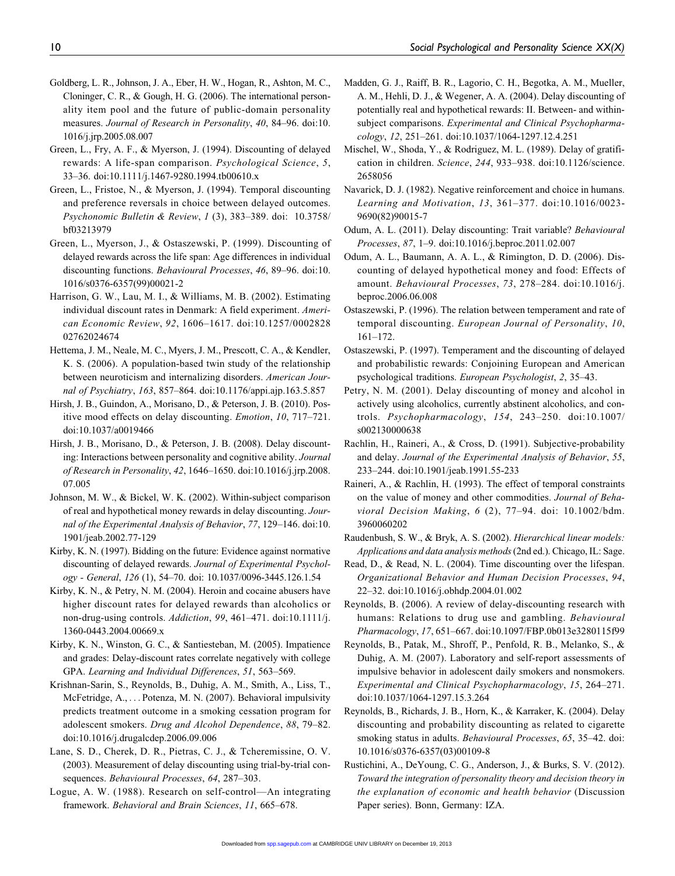- Goldberg, L. R., Johnson, J. A., Eber, H. W., Hogan, R., Ashton, M. C., Cloninger, C. R., & Gough, H. G. (2006). The international personality item pool and the future of public-domain personality measures. Journal of Research in Personality, 40, 84–96. doi:10. 1016/j.jrp.2005.08.007
- Green, L., Fry, A. F., & Myerson, J. (1994). Discounting of delayed rewards: A life-span comparison. Psychological Science, 5, 33–36. doi:10.1111/j.1467-9280.1994.tb00610.x
- Green, L., Fristoe, N., & Myerson, J. (1994). Temporal discounting and preference reversals in choice between delayed outcomes. Psychonomic Bulletin & Review, 1 (3), 383–389. doi: 10.3758/ bf03213979
- Green, L., Myerson, J., & Ostaszewski, P. (1999). Discounting of delayed rewards across the life span: Age differences in individual discounting functions. Behavioural Processes, 46, 89–96. doi:10. 1016/s0376-6357(99)00021-2
- Harrison, G. W., Lau, M. I., & Williams, M. B. (2002). Estimating individual discount rates in Denmark: A field experiment. American Economic Review, 92, 1606–1617. doi:10.1257/0002828 02762024674
- Hettema, J. M., Neale, M. C., Myers, J. M., Prescott, C. A., & Kendler, K. S. (2006). A population-based twin study of the relationship between neuroticism and internalizing disorders. American Journal of Psychiatry, 163, 857–864. doi:10.1176/appi.ajp.163.5.857
- Hirsh, J. B., Guindon, A., Morisano, D., & Peterson, J. B. (2010). Positive mood effects on delay discounting. Emotion, 10, 717–721. doi:10.1037/a0019466
- Hirsh, J. B., Morisano, D., & Peterson, J. B. (2008). Delay discounting: Interactions between personality and cognitive ability. Journal of Research in Personality, 42, 1646–1650. doi:10.1016/j.jrp.2008. 07.005
- Johnson, M. W., & Bickel, W. K. (2002). Within-subject comparison of real and hypothetical money rewards in delay discounting. Journal of the Experimental Analysis of Behavior, 77, 129–146. doi:10. 1901/jeab.2002.77-129
- Kirby, K. N. (1997). Bidding on the future: Evidence against normative discounting of delayed rewards. Journal of Experimental Psychology - General, 126 (1), 54–70. doi: 10.1037/0096-3445.126.1.54
- Kirby, K. N., & Petry, N. M. (2004). Heroin and cocaine abusers have higher discount rates for delayed rewards than alcoholics or non-drug-using controls. Addiction, 99, 461–471. doi:10.1111/j. 1360-0443.2004.00669.x
- Kirby, K. N., Winston, G. C., & Santiesteban, M. (2005). Impatience and grades: Delay-discount rates correlate negatively with college GPA. Learning and Individual Differences, 51, 563–569.
- Krishnan-Sarin, S., Reynolds, B., Duhig, A. M., Smith, A., Liss, T., McFetridge, A., ... Potenza, M. N. (2007). Behavioral impulsivity predicts treatment outcome in a smoking cessation program for adolescent smokers. Drug and Alcohol Dependence, 88, 79–82. doi:10.1016/j.drugalcdep.2006.09.006
- Lane, S. D., Cherek, D. R., Pietras, C. J., & Tcheremissine, O. V. (2003). Measurement of delay discounting using trial-by-trial consequences. Behavioural Processes, 64, 287–303.
- Logue, A. W. (1988). Research on self-control—An integrating framework. Behavioral and Brain Sciences, 11, 665–678.
- Madden, G. J., Raiff, B. R., Lagorio, C. H., Begotka, A. M., Mueller, A. M., Hehli, D. J., & Wegener, A. A. (2004). Delay discounting of potentially real and hypothetical rewards: II. Between- and withinsubject comparisons. Experimental and Clinical Psychopharmacology, 12, 251–261. doi:10.1037/1064-1297.12.4.251
- Mischel, W., Shoda, Y., & Rodriguez, M. L. (1989). Delay of gratification in children. Science, 244, 933–938. doi:10.1126/science. 2658056
- Navarick, D. J. (1982). Negative reinforcement and choice in humans. Learning and Motivation, 13, 361–377. doi:10.1016/0023- 9690(82)90015-7
- Odum, A. L. (2011). Delay discounting: Trait variable? Behavioural Processes, 87, 1–9. doi:10.1016/j.beproc.2011.02.007
- Odum, A. L., Baumann, A. A. L., & Rimington, D. D. (2006). Discounting of delayed hypothetical money and food: Effects of amount. Behavioural Processes, 73, 278–284. doi:10.1016/j. beproc.2006.06.008
- Ostaszewski, P. (1996). The relation between temperament and rate of temporal discounting. European Journal of Personality, 10, 161–172.
- Ostaszewski, P. (1997). Temperament and the discounting of delayed and probabilistic rewards: Conjoining European and American psychological traditions. European Psychologist, 2, 35–43.
- Petry, N. M. (2001). Delay discounting of money and alcohol in actively using alcoholics, currently abstinent alcoholics, and controls. Psychopharmacology, 154, 243–250. doi:10.1007/ s002130000638
- Rachlin, H., Raineri, A., & Cross, D. (1991). Subjective-probability and delay. Journal of the Experimental Analysis of Behavior, 55, 233–244. doi:10.1901/jeab.1991.55-233
- Raineri, A., & Rachlin, H. (1993). The effect of temporal constraints on the value of money and other commodities. Journal of Behavioral Decision Making, 6 (2), 77–94. doi: 10.1002/bdm. 3960060202
- Raudenbush, S. W., & Bryk, A. S. (2002). Hierarchical linear models: Applications and data analysis methods(2nd ed.). Chicago, IL: Sage.
- Read, D., & Read, N. L. (2004). Time discounting over the lifespan. Organizational Behavior and Human Decision Processes, 94, 22–32. doi:10.1016/j.obhdp.2004.01.002
- Reynolds, B. (2006). A review of delay-discounting research with humans: Relations to drug use and gambling. Behavioural Pharmacology, 17, 651–667. doi:10.1097/FBP.0b013e3280115f99
- Reynolds, B., Patak, M., Shroff, P., Penfold, R. B., Melanko, S., & Duhig, A. M. (2007). Laboratory and self-report assessments of impulsive behavior in adolescent daily smokers and nonsmokers. Experimental and Clinical Psychopharmacology, 15, 264–271. doi:10.1037/1064-1297.15.3.264
- Reynolds, B., Richards, J. B., Horn, K., & Karraker, K. (2004). Delay discounting and probability discounting as related to cigarette smoking status in adults. Behavioural Processes, 65, 35–42. doi: 10.1016/s0376-6357(03)00109-8
- Rustichini, A., DeYoung, C. G., Anderson, J., & Burks, S. V. (2012). Toward the integration of personality theory and decision theory in the explanation of economic and health behavior (Discussion [Paper ser](http://spp.sagepub.com/)ies). Bonn, Germany: IZA.